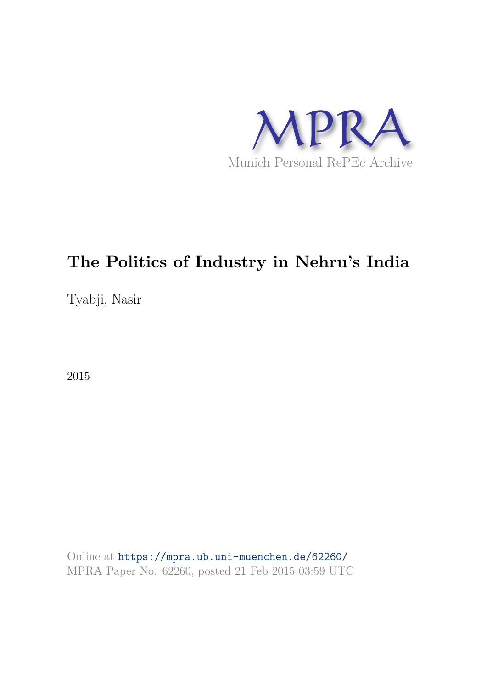

Tyabji, Nasir

2015

Online at https://mpra.ub.uni-muenchen.de/62260/ MPRA Paper No. 62260, posted 21 Feb 2015 03:59 UTC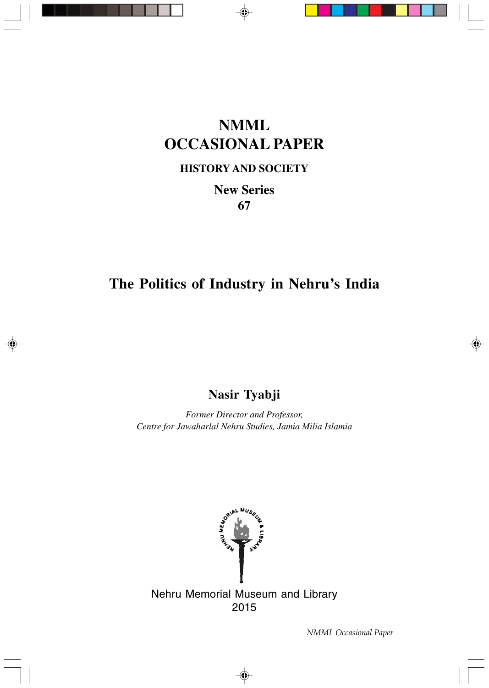## **NMML OCCASIONAL PAPER**

### **HISTORY AND SOCIETY**

**New Series 67**

### **The Politics of Industry in Nehru's India**

**Nasir Tyabji**

*Former Director and Professor, Centre for Jawaharlal Nehru Studies, Jamia Milia Islamia*



⊕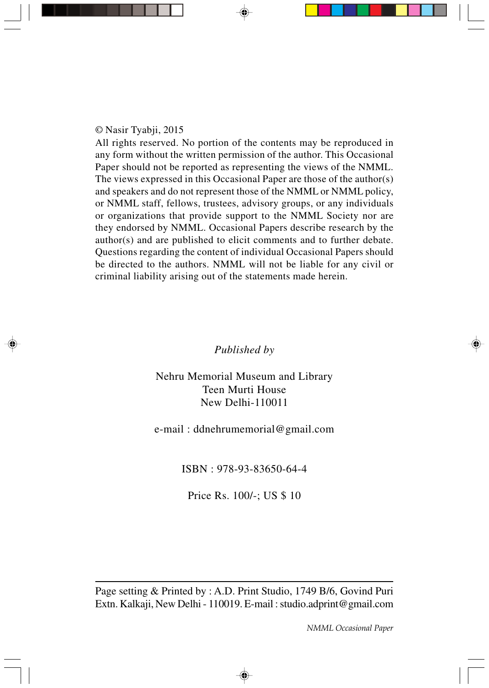#### © Nasir Tyabji, 2015

All rights reserved. No portion of the contents may be reproduced in any form without the written permission of the author. This Occasional Paper should not be reported as representing the views of the NMML. The views expressed in this Occasional Paper are those of the author(s) and speakers and do not represent those of the NMML or NMML policy, or NMML staff, fellows, trustees, advisory groups, or any individuals or organizations that provide support to the NMML Society nor are they endorsed by NMML. Occasional Papers describe research by the author(s) and are published to elicit comments and to further debate. Questions regarding the content of individual Occasional Papers should be directed to the authors. NMML will not be liable for any civil or criminal liability arising out of the statements made herein.

#### *Published by*

Nehru Memorial Museum and Library Teen Murti House New Delhi-110011

e-mail : ddnehrumemorial@gmail.com

ISBN : 978-93-83650-64-4

Price Rs. 100/-; US \$ 10

Page setting & Printed by : A.D. Print Studio, 1749 B/6, Govind Puri Extn. Kalkaji, New Delhi - 110019. E-mail : studio.adprint@gmail.com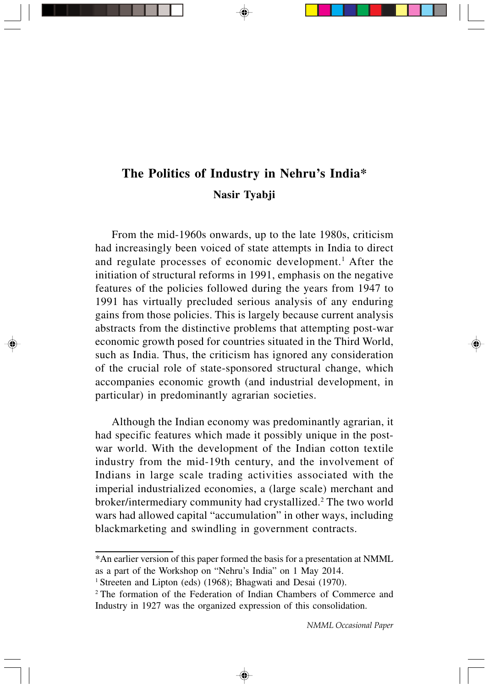### **The Politics of Industry in Nehru's India\* Nasir Tyabji**

From the mid-1960s onwards, up to the late 1980s, criticism had increasingly been voiced of state attempts in India to direct and regulate processes of economic development.<sup>1</sup> After the initiation of structural reforms in 1991, emphasis on the negative features of the policies followed during the years from 1947 to 1991 has virtually precluded serious analysis of any enduring gains from those policies. This is largely because current analysis abstracts from the distinctive problems that attempting post-war economic growth posed for countries situated in the Third World, such as India. Thus, the criticism has ignored any consideration of the crucial role of state-sponsored structural change, which accompanies economic growth (and industrial development, in particular) in predominantly agrarian societies.

Although the Indian economy was predominantly agrarian, it had specific features which made it possibly unique in the postwar world. With the development of the Indian cotton textile industry from the mid-19th century, and the involvement of Indians in large scale trading activities associated with the imperial industrialized economies, a (large scale) merchant and broker/intermediary community had crystallized.<sup>2</sup> The two world wars had allowed capital "accumulation" in other ways, including blackmarketing and swindling in government contracts.

<sup>\*</sup>An earlier version of this paper formed the basis for a presentation at NMML as a part of the Workshop on "Nehru's India" on 1 May 2014.

<sup>&</sup>lt;sup>1</sup> Streeten and Lipton (eds) (1968); Bhagwati and Desai (1970).

<sup>2</sup>The formation of the Federation of Indian Chambers of Commerce and Industry in 1927 was the organized expression of this consolidation.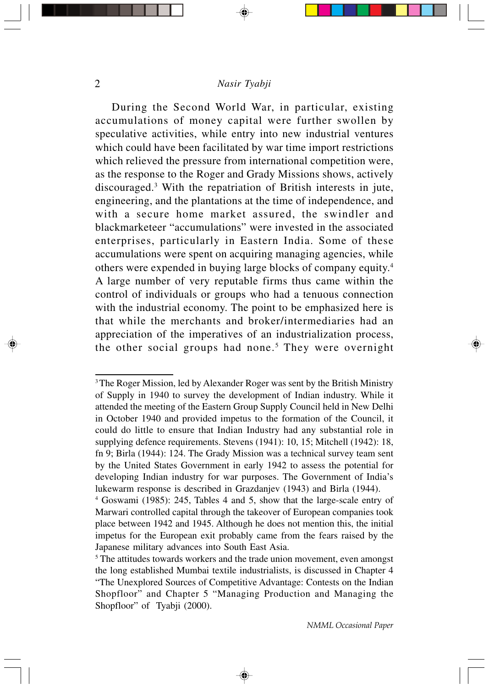During the Second World War, in particular, existing accumulations of money capital were further swollen by speculative activities, while entry into new industrial ventures which could have been facilitated by war time import restrictions which relieved the pressure from international competition were, as the response to the Roger and Grady Missions shows, actively discouraged.<sup>3</sup> With the repatriation of British interests in jute, engineering, and the plantations at the time of independence, and with a secure home market assured, the swindler and blackmarketeer "accumulations" were invested in the associated enterprises, particularly in Eastern India. Some of these accumulations were spent on acquiring managing agencies, while others were expended in buying large blocks of company equity.<sup>4</sup> A large number of very reputable firms thus came within the control of individuals or groups who had a tenuous connection with the industrial economy. The point to be emphasized here is that while the merchants and broker/intermediaries had an appreciation of the imperatives of an industrialization process, the other social groups had none.<sup>5</sup> They were overnight

⊕

<sup>&</sup>lt;sup>3</sup>The Roger Mission, led by Alexander Roger was sent by the British Ministry of Supply in 1940 to survey the development of Indian industry. While it attended the meeting of the Eastern Group Supply Council held in New Delhi in October 1940 and provided impetus to the formation of the Council, it could do little to ensure that Indian Industry had any substantial role in supplying defence requirements. Stevens (1941): 10, 15; Mitchell (1942): 18, fn 9; Birla (1944): 124. The Grady Mission was a technical survey team sent by the United States Government in early 1942 to assess the potential for developing Indian industry for war purposes. The Government of India's lukewarm response is described in Grazdanjev (1943) and Birla (1944).

<sup>4</sup> Goswami (1985): 245, Tables 4 and 5, show that the large-scale entry of Marwari controlled capital through the takeover of European companies took place between 1942 and 1945. Although he does not mention this, the initial impetus for the European exit probably came from the fears raised by the Japanese military advances into South East Asia.

<sup>&</sup>lt;sup>5</sup> The attitudes towards workers and the trade union movement, even amongst the long established Mumbai textile industrialists, is discussed in Chapter 4 "The Unexplored Sources of Competitive Advantage: Contests on the Indian Shopfloor" and Chapter 5 "Managing Production and Managing the Shopfloor" of Tyabji (2000).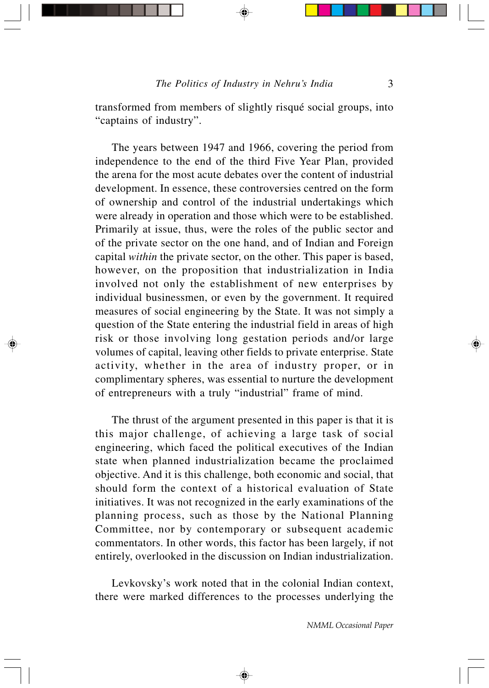transformed from members of slightly risqué social groups, into "captains of industry".

The years between 1947 and 1966, covering the period from independence to the end of the third Five Year Plan, provided the arena for the most acute debates over the content of industrial development. In essence, these controversies centred on the form of ownership and control of the industrial undertakings which were already in operation and those which were to be established. Primarily at issue, thus, were the roles of the public sector and of the private sector on the one hand, and of Indian and Foreign capital *within* the private sector, on the other. This paper is based, however, on the proposition that industrialization in India involved not only the establishment of new enterprises by individual businessmen, or even by the government. It required measures of social engineering by the State. It was not simply a question of the State entering the industrial field in areas of high risk or those involving long gestation periods and/or large volumes of capital, leaving other fields to private enterprise. State activity, whether in the area of industry proper, or in complimentary spheres, was essential to nurture the development of entrepreneurs with a truly "industrial" frame of mind.

The thrust of the argument presented in this paper is that it is this major challenge, of achieving a large task of social engineering, which faced the political executives of the Indian state when planned industrialization became the proclaimed objective. And it is this challenge, both economic and social, that should form the context of a historical evaluation of State initiatives. It was not recognized in the early examinations of the planning process, such as those by the National Planning Committee, nor by contemporary or subsequent academic commentators. In other words, this factor has been largely, if not entirely, overlooked in the discussion on Indian industrialization.

Levkovsky's work noted that in the colonial Indian context, there were marked differences to the processes underlying the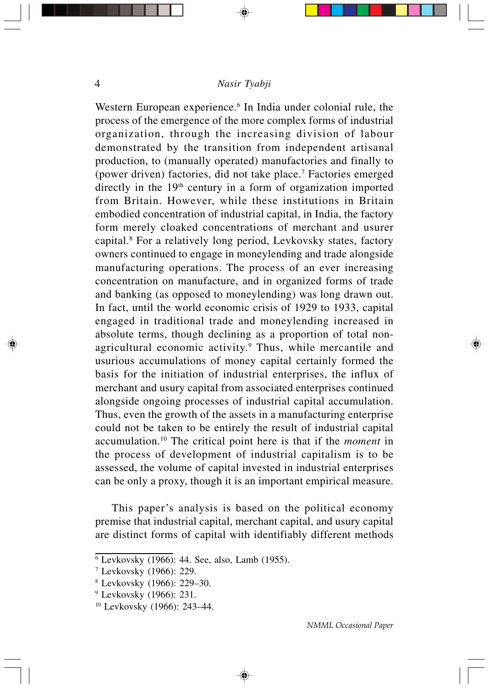Western European experience.<sup>6</sup> In India under colonial rule, the process of the emergence of the more complex forms of industrial organization, through the increasing division of labour demonstrated by the transition from independent artisanal production, to (manually operated) manufactories and finally to (power driven) factories, did not take place.<sup>7</sup> Factories emerged directly in the 19<sup>th</sup> century in a form of organization imported from Britain. However, while these institutions in Britain embodied concentration of industrial capital, in India, the factory form merely cloaked concentrations of merchant and usurer capital.<sup>8</sup> For a relatively long period, Levkovsky states, factory owners continued to engage in moneylending and trade alongside manufacturing operations. The process of an ever increasing concentration on manufacture, and in organized forms of trade and banking (as opposed to moneylending) was long drawn out. In fact, until the world economic crisis of 1929 to 1933, capital engaged in traditional trade and moneylending increased in absolute terms, though declining as a proportion of total nonagricultural economic activity.<sup>9</sup> Thus, while mercantile and usurious accumulations of money capital certainly formed the basis for the initiation of industrial enterprises, the influx of merchant and usury capital from associated enterprises continued alongside ongoing processes of industrial capital accumulation. Thus, even the growth of the assets in a manufacturing enterprise could not be taken to be entirely the result of industrial capital accumulation.<sup>10</sup> The critical point here is that if the *moment* in the process of development of industrial capitalism is to be assessed, the volume of capital invested in industrial enterprises can be only a proxy, though it is an important empirical measure.

This paper's analysis is based on the political economy premise that industrial capital, merchant capital, and usury capital are distinct forms of capital with identifiably different methods

⊕

<sup>6</sup> Levkovsky (1966): 44. See, also, Lamb (1955).

<sup>7</sup> Levkovsky (1966): 229.

<sup>8</sup> Levkovsky (1966): 229–30.

<sup>&</sup>lt;sup>9</sup> Levkovsky (1966): 231.

<sup>10</sup> Levkovsky (1966): 243–44.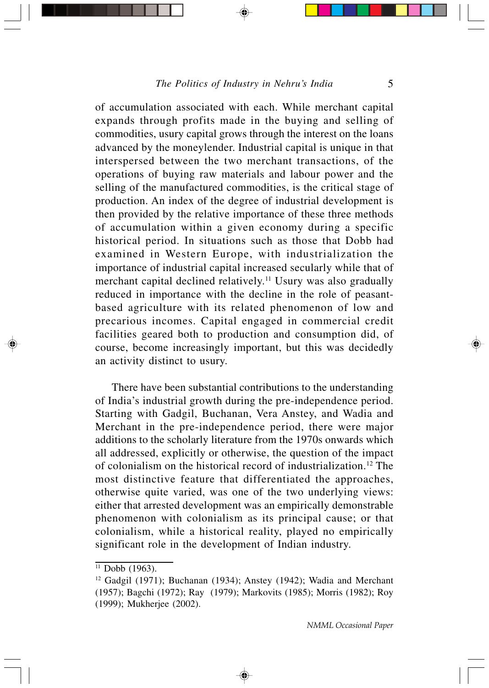of accumulation associated with each. While merchant capital expands through profits made in the buying and selling of commodities, usury capital grows through the interest on the loans advanced by the moneylender. Industrial capital is unique in that interspersed between the two merchant transactions, of the operations of buying raw materials and labour power and the selling of the manufactured commodities, is the critical stage of production. An index of the degree of industrial development is then provided by the relative importance of these three methods of accumulation within a given economy during a specific historical period. In situations such as those that Dobb had examined in Western Europe, with industrialization the importance of industrial capital increased secularly while that of merchant capital declined relatively.<sup>11</sup> Usury was also gradually reduced in importance with the decline in the role of peasantbased agriculture with its related phenomenon of low and precarious incomes. Capital engaged in commercial credit facilities geared both to production and consumption did, of course, become increasingly important, but this was decidedly an activity distinct to usury.

There have been substantial contributions to the understanding of India's industrial growth during the pre-independence period. Starting with Gadgil, Buchanan, Vera Anstey, and Wadia and Merchant in the pre-independence period, there were major additions to the scholarly literature from the 1970s onwards which all addressed, explicitly or otherwise, the question of the impact of colonialism on the historical record of industrialization.<sup>12</sup> The most distinctive feature that differentiated the approaches, otherwise quite varied, was one of the two underlying views: either that arrested development was an empirically demonstrable phenomenon with colonialism as its principal cause; or that colonialism, while a historical reality, played no empirically significant role in the development of Indian industry.

 $11$  Dobb (1963).

<sup>&</sup>lt;sup>12</sup> Gadgil (1971); Buchanan (1934); Anstey (1942); Wadia and Merchant (1957); Bagchi (1972); Ray (1979); Markovits (1985); Morris (1982); Roy (1999); Mukherjee (2002).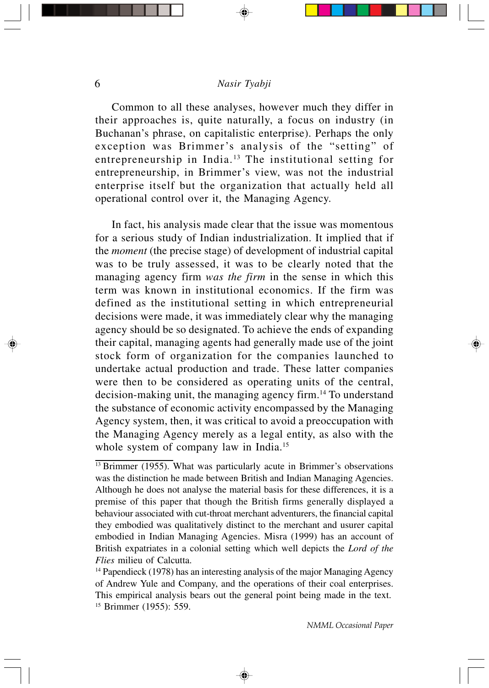Common to all these analyses, however much they differ in their approaches is, quite naturally, a focus on industry (in Buchanan's phrase, on capitalistic enterprise). Perhaps the only exception was Brimmer's analysis of the "setting" of entrepreneurship in India.<sup>13</sup> The institutional setting for entrepreneurship, in Brimmer's view, was not the industrial enterprise itself but the organization that actually held all operational control over it, the Managing Agency.

In fact, his analysis made clear that the issue was momentous for a serious study of Indian industrialization. It implied that if the *moment* (the precise stage) of development of industrial capital was to be truly assessed, it was to be clearly noted that the managing agency firm *was the firm* in the sense in which this term was known in institutional economics. If the firm was defined as the institutional setting in which entrepreneurial decisions were made, it was immediately clear why the managing agency should be so designated. To achieve the ends of expanding their capital, managing agents had generally made use of the joint stock form of organization for the companies launched to undertake actual production and trade. These latter companies were then to be considered as operating units of the central, decision-making unit, the managing agency firm.<sup>14</sup> To understand the substance of economic activity encompassed by the Managing Agency system, then, it was critical to avoid a preoccupation with the Managing Agency merely as a legal entity, as also with the whole system of company law in India.<sup>15</sup>

 $\frac{13}{13}$  Brimmer (1955). What was particularly acute in Brimmer's observations was the distinction he made between British and Indian Managing Agencies. Although he does not analyse the material basis for these differences, it is a premise of this paper that though the British firms generally displayed a behaviour associated with cut-throat merchant adventurers, the financial capital they embodied was qualitatively distinct to the merchant and usurer capital embodied in Indian Managing Agencies. Misra (1999) has an account of British expatriates in a colonial setting which well depicts the *Lord of the Flies* milieu of Calcutta.

 $14$  Papendieck (1978) has an interesting analysis of the major Managing Agency of Andrew Yule and Company, and the operations of their coal enterprises. This empirical analysis bears out the general point being made in the text. 15 Brimmer (1955): 559.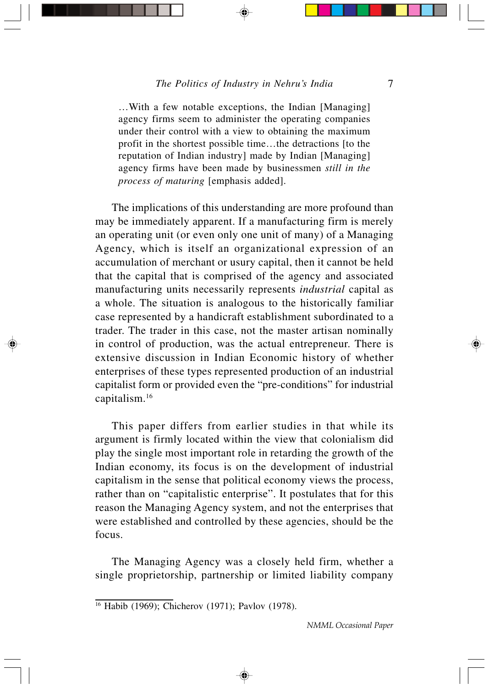…With a few notable exceptions, the Indian [Managing] agency firms seem to administer the operating companies under their control with a view to obtaining the maximum profit in the shortest possible time…the detractions [to the reputation of Indian industry] made by Indian [Managing] agency firms have been made by businessmen *still in the process of maturing* [emphasis added].

The implications of this understanding are more profound than may be immediately apparent. If a manufacturing firm is merely an operating unit (or even only one unit of many) of a Managing Agency, which is itself an organizational expression of an accumulation of merchant or usury capital, then it cannot be held that the capital that is comprised of the agency and associated manufacturing units necessarily represents *industrial* capital as a whole. The situation is analogous to the historically familiar case represented by a handicraft establishment subordinated to a trader. The trader in this case, not the master artisan nominally in control of production, was the actual entrepreneur. There is extensive discussion in Indian Economic history of whether enterprises of these types represented production of an industrial capitalist form or provided even the "pre-conditions" for industrial capitalism.<sup>16</sup>

This paper differs from earlier studies in that while its argument is firmly located within the view that colonialism did play the single most important role in retarding the growth of the Indian economy, its focus is on the development of industrial capitalism in the sense that political economy views the process, rather than on "capitalistic enterprise". It postulates that for this reason the Managing Agency system, and not the enterprises that were established and controlled by these agencies, should be the focus.

The Managing Agency was a closely held firm, whether a single proprietorship, partnership or limited liability company

<sup>16</sup> Habib (1969); Chicherov (1971); Pavlov (1978).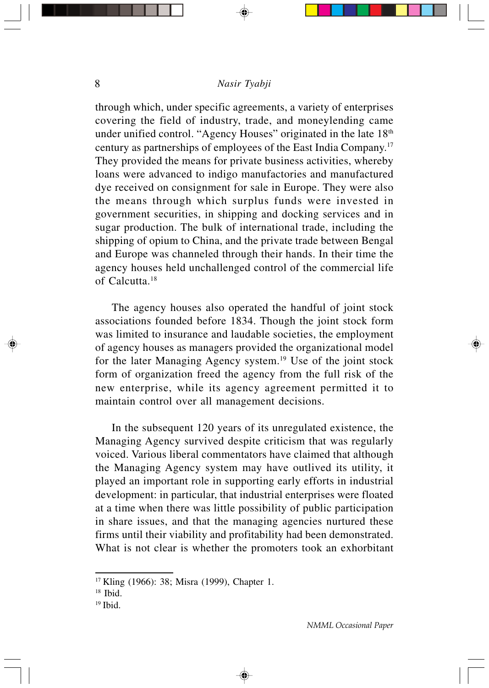through which, under specific agreements, a variety of enterprises covering the field of industry, trade, and moneylending came under unified control. "Agency Houses" originated in the late  $18<sup>th</sup>$ century as partnerships of employees of the East India Company.<sup>17</sup> They provided the means for private business activities, whereby loans were advanced to indigo manufactories and manufactured dye received on consignment for sale in Europe. They were also the means through which surplus funds were invested in government securities, in shipping and docking services and in sugar production. The bulk of international trade, including the shipping of opium to China, and the private trade between Bengal and Europe was channeled through their hands. In their time the agency houses held unchallenged control of the commercial life of Calcutta.<sup>18</sup>

The agency houses also operated the handful of joint stock associations founded before 1834. Though the joint stock form was limited to insurance and laudable societies, the employment of agency houses as managers provided the organizational model for the later Managing Agency system.<sup>19</sup> Use of the joint stock form of organization freed the agency from the full risk of the new enterprise, while its agency agreement permitted it to maintain control over all management decisions.

In the subsequent 120 years of its unregulated existence, the Managing Agency survived despite criticism that was regularly voiced. Various liberal commentators have claimed that although the Managing Agency system may have outlived its utility, it played an important role in supporting early efforts in industrial development: in particular, that industrial enterprises were floated at a time when there was little possibility of public participation in share issues, and that the managing agencies nurtured these firms until their viability and profitability had been demonstrated. What is not clear is whether the promoters took an exhorbitant

<sup>&</sup>lt;sup>17</sup> Kling (1966): 38; Misra (1999), Chapter 1.

<sup>&</sup>lt;sup>18</sup> Ibid.

<sup>19</sup> Ibid.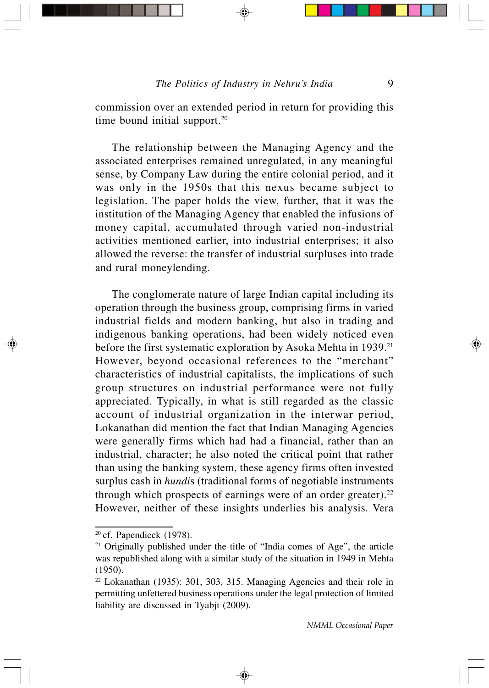commission over an extended period in return for providing this time bound initial support.<sup>20</sup>

The relationship between the Managing Agency and the associated enterprises remained unregulated, in any meaningful sense, by Company Law during the entire colonial period, and it was only in the 1950s that this nexus became subject to legislation. The paper holds the view, further, that it was the institution of the Managing Agency that enabled the infusions of money capital, accumulated through varied non-industrial activities mentioned earlier, into industrial enterprises; it also allowed the reverse: the transfer of industrial surpluses into trade and rural moneylending.

The conglomerate nature of large Indian capital including its operation through the business group, comprising firms in varied industrial fields and modern banking, but also in trading and indigenous banking operations, had been widely noticed even before the first systematic exploration by Asoka Mehta in 1939.<sup>21</sup> However, beyond occasional references to the "merchant" characteristics of industrial capitalists, the implications of such group structures on industrial performance were not fully appreciated. Typically, in what is still regarded as the classic account of industrial organization in the interwar period, Lokanathan did mention the fact that Indian Managing Agencies were generally firms which had had a financial, rather than an industrial, character; he also noted the critical point that rather than using the banking system, these agency firms often invested surplus cash in *hundi*s (traditional forms of negotiable instruments through which prospects of earnings were of an order greater).<sup>22</sup> However, neither of these insights underlies his analysis. Vera

 $20$  cf. Papendieck (1978).

<sup>&</sup>lt;sup>21</sup> Originally published under the title of "India comes of Age", the article was republished along with a similar study of the situation in 1949 in Mehta (1950).

<sup>22</sup> Lokanathan (1935): 301, 303, 315. Managing Agencies and their role in permitting unfettered business operations under the legal protection of limited liability are discussed in Tyabji (2009).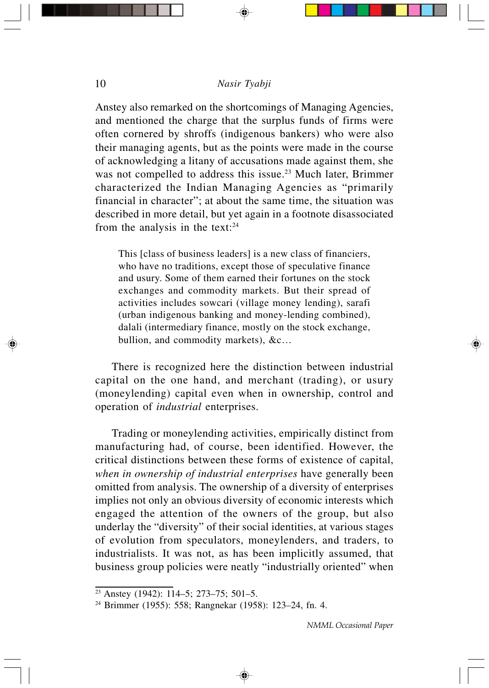Anstey also remarked on the shortcomings of Managing Agencies, and mentioned the charge that the surplus funds of firms were often cornered by shroffs (indigenous bankers) who were also their managing agents, but as the points were made in the course of acknowledging a litany of accusations made against them, she was not compelled to address this issue.<sup>23</sup> Much later, Brimmer characterized the Indian Managing Agencies as "primarily financial in character"; at about the same time, the situation was described in more detail, but yet again in a footnote disassociated from the analysis in the text: $24$ 

This [class of business leaders] is a new class of financiers, who have no traditions, except those of speculative finance and usury. Some of them earned their fortunes on the stock exchanges and commodity markets. But their spread of activities includes sowcari (village money lending), sarafi (urban indigenous banking and money-lending combined), dalali (intermediary finance, mostly on the stock exchange, bullion, and commodity markets), &c…

There is recognized here the distinction between industrial capital on the one hand, and merchant (trading), or usury (moneylending) capital even when in ownership, control and operation of *industrial* enterprises.

Trading or moneylending activities, empirically distinct from manufacturing had, of course, been identified. However, the critical distinctions between these forms of existence of capital, *when in ownership of industrial enterprises* have generally been omitted from analysis. The ownership of a diversity of enterprises implies not only an obvious diversity of economic interests which engaged the attention of the owners of the group, but also underlay the "diversity" of their social identities, at various stages of evolution from speculators, moneylenders, and traders, to industrialists. It was not, as has been implicitly assumed, that business group policies were neatly "industrially oriented" when

<sup>23</sup> Anstey (1942): 114–5; 273–75; 501–5.

<sup>24</sup> Brimmer (1955): 558; Rangnekar (1958): 123–24, fn. 4.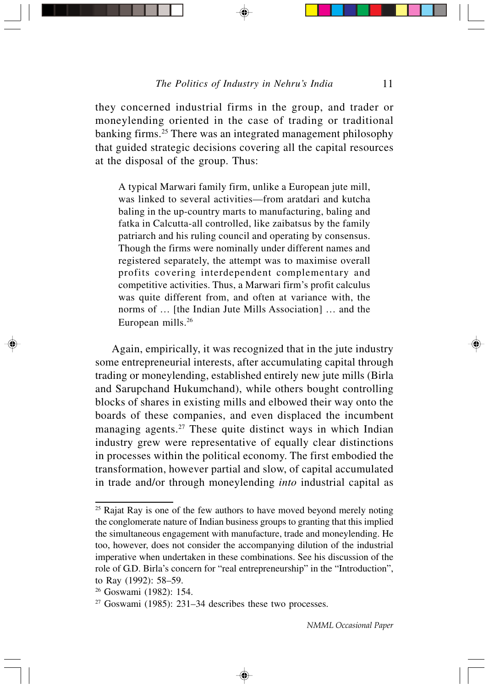they concerned industrial firms in the group, and trader or moneylending oriented in the case of trading or traditional banking firms.<sup>25</sup> There was an integrated management philosophy that guided strategic decisions covering all the capital resources at the disposal of the group. Thus:

A typical Marwari family firm, unlike a European jute mill, was linked to several activities—from aratdari and kutcha baling in the up-country marts to manufacturing, baling and fatka in Calcutta-all controlled, like zaibatsus by the family patriarch and his ruling council and operating by consensus. Though the firms were nominally under different names and registered separately, the attempt was to maximise overall profits covering interdependent complementary and competitive activities. Thus, a Marwari firm's profit calculus was quite different from, and often at variance with, the norms of … [the Indian Jute Mills Association] … and the European mills.<sup>26</sup>

Again, empirically, it was recognized that in the jute industry some entrepreneurial interests, after accumulating capital through trading or moneylending, established entirely new jute mills (Birla and Sarupchand Hukumchand), while others bought controlling blocks of shares in existing mills and elbowed their way onto the boards of these companies, and even displaced the incumbent managing agents.<sup>27</sup> These quite distinct ways in which Indian industry grew were representative of equally clear distinctions in processes within the political economy. The first embodied the transformation, however partial and slow, of capital accumulated in trade and/or through moneylending *into* industrial capital as

<sup>26</sup> Goswami (1982): 154.

<sup>&</sup>lt;sup>25</sup> Rajat Ray is one of the few authors to have moved beyond merely noting the conglomerate nature of Indian business groups to granting that this implied the simultaneous engagement with manufacture, trade and moneylending. He too, however, does not consider the accompanying dilution of the industrial imperative when undertaken in these combinations. See his discussion of the role of G.D. Birla's concern for "real entrepreneurship" in the "Introduction", to Ray (1992): 58–59.

 $27$  Goswami (1985): 231–34 describes these two processes.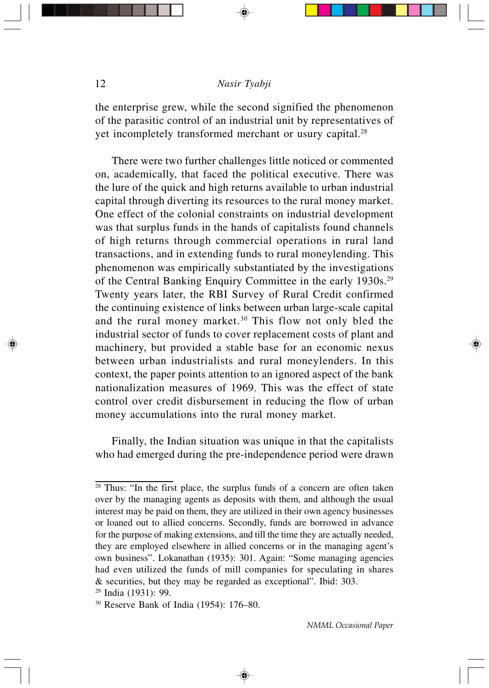the enterprise grew, while the second signified the phenomenon of the parasitic control of an industrial unit by representatives of yet incompletely transformed merchant or usury capital.<sup>28</sup>

There were two further challenges little noticed or commented on, academically, that faced the political executive. There was the lure of the quick and high returns available to urban industrial capital through diverting its resources to the rural money market. One effect of the colonial constraints on industrial development was that surplus funds in the hands of capitalists found channels of high returns through commercial operations in rural land transactions, and in extending funds to rural moneylending. This phenomenon was empirically substantiated by the investigations of the Central Banking Enquiry Committee in the early 1930s.<sup>29</sup> Twenty years later, the RBI Survey of Rural Credit confirmed the continuing existence of links between urban large-scale capital and the rural money market.<sup>30</sup> This flow not only bled the industrial sector of funds to cover replacement costs of plant and machinery, but provided a stable base for an economic nexus between urban industrialists and rural moneylenders. In this context, the paper points attention to an ignored aspect of the bank nationalization measures of 1969. This was the effect of state control over credit disbursement in reducing the flow of urban money accumulations into the rural money market.

Finally, the Indian situation was unique in that the capitalists who had emerged during the pre-independence period were drawn

⊕

<sup>&</sup>lt;sup>28</sup> Thus: "In the first place, the surplus funds of a concern are often taken over by the managing agents as deposits with them, and although the usual interest may be paid on them, they are utilized in their own agency businesses or loaned out to allied concerns. Secondly, funds are borrowed in advance for the purpose of making extensions, and till the time they are actually needed, they are employed elsewhere in allied concerns or in the managing agent's own business". Lokanathan (1935): 301. Again: "Some managing agencies had even utilized the funds of mill companies for speculating in shares & securities, but they may be regarded as exceptional". Ibid: 303.

<sup>29</sup> India (1931): 99.

<sup>30</sup> Reserve Bank of India (1954): 176–80.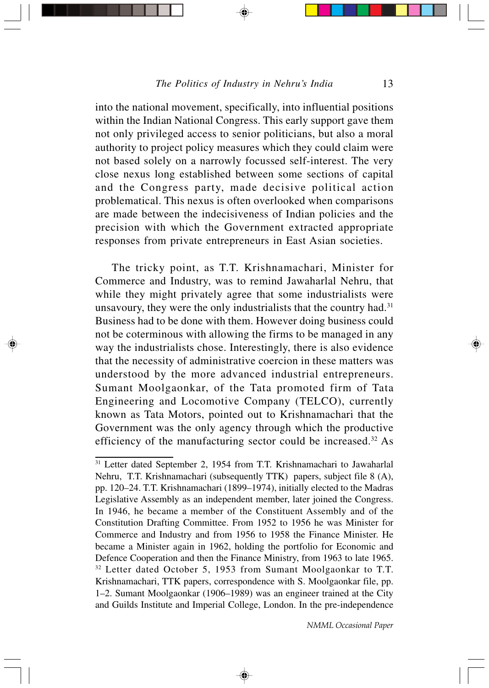into the national movement, specifically, into influential positions within the Indian National Congress. This early support gave them not only privileged access to senior politicians, but also a moral authority to project policy measures which they could claim were not based solely on a narrowly focussed self-interest. The very close nexus long established between some sections of capital and the Congress party, made decisive political action problematical. This nexus is often overlooked when comparisons are made between the indecisiveness of Indian policies and the precision with which the Government extracted appropriate responses from private entrepreneurs in East Asian societies.

The tricky point, as T.T. Krishnamachari, Minister for Commerce and Industry, was to remind Jawaharlal Nehru, that while they might privately agree that some industrialists were unsavoury, they were the only industrialists that the country had. $31$ Business had to be done with them. However doing business could not be coterminous with allowing the firms to be managed in any way the industrialists chose. Interestingly, there is also evidence that the necessity of administrative coercion in these matters was understood by the more advanced industrial entrepreneurs. Sumant Moolgaonkar, of the Tata promoted firm of Tata Engineering and Locomotive Company (TELCO), currently known as Tata Motors, pointed out to Krishnamachari that the Government was the only agency through which the productive efficiency of the manufacturing sector could be increased.<sup>32</sup> As

◈

<sup>31</sup> Letter dated September 2, 1954 from T.T. Krishnamachari to Jawaharlal Nehru, T.T. Krishnamachari (subsequently TTK) papers, subject file 8 (A), pp. 120–24. T.T. Krishnamachari (1899–1974), initially elected to the Madras Legislative Assembly as an independent member, later joined the Congress. In 1946, he became a member of the Constituent Assembly and of the Constitution Drafting Committee. From 1952 to 1956 he was Minister for Commerce and Industry and from 1956 to 1958 the Finance Minister. He became a Minister again in 1962, holding the portfolio for Economic and Defence Cooperation and then the Finance Ministry, from 1963 to late 1965. <sup>32</sup> Letter dated October 5, 1953 from Sumant Moolgaonkar to T.T. Krishnamachari, TTK papers, correspondence with S. Moolgaonkar file, pp. 1–2. Sumant Moolgaonkar (1906–1989) was an engineer trained at the City and Guilds Institute and Imperial College, London. In the pre-independence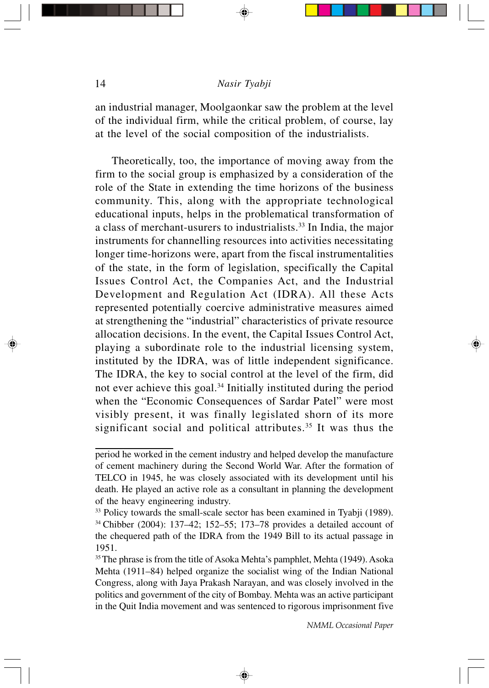an industrial manager, Moolgaonkar saw the problem at the level of the individual firm, while the critical problem, of course, lay at the level of the social composition of the industrialists.

Theoretically, too, the importance of moving away from the firm to the social group is emphasized by a consideration of the role of the State in extending the time horizons of the business community. This, along with the appropriate technological educational inputs, helps in the problematical transformation of a class of merchant-usurers to industrialists.<sup>33</sup> In India, the major instruments for channelling resources into activities necessitating longer time-horizons were, apart from the fiscal instrumentalities of the state, in the form of legislation, specifically the Capital Issues Control Act, the Companies Act, and the Industrial Development and Regulation Act (IDRA). All these Acts represented potentially coercive administrative measures aimed at strengthening the "industrial" characteristics of private resource allocation decisions. In the event, the Capital Issues Control Act, playing a subordinate role to the industrial licensing system, instituted by the IDRA, was of little independent significance. The IDRA, the key to social control at the level of the firm, did not ever achieve this goal.<sup>34</sup> Initially instituted during the period when the "Economic Consequences of Sardar Patel" were most visibly present, it was finally legislated shorn of its more significant social and political attributes.<sup>35</sup> It was thus the

⊕

period he worked in the cement industry and helped develop the manufacture of cement machinery during the Second World War. After the formation of TELCO in 1945, he was closely associated with its development until his death. He played an active role as a consultant in planning the development of the heavy engineering industry.

<sup>&</sup>lt;sup>33</sup> Policy towards the small-scale sector has been examined in Tyabji (1989). <sup>34</sup>Chibber (2004): 137–42; 152–55; 173–78 provides a detailed account of the chequered path of the IDRA from the 1949 Bill to its actual passage in 1951.

<sup>&</sup>lt;sup>35</sup>The phrase is from the title of Asoka Mehta's pamphlet, Mehta (1949). Asoka Mehta (1911–84) helped organize the socialist wing of the Indian National Congress, along with Jaya Prakash Narayan, and was closely involved in the politics and government of the city of Bombay. Mehta was an active participant in the Quit India movement and was sentenced to rigorous imprisonment five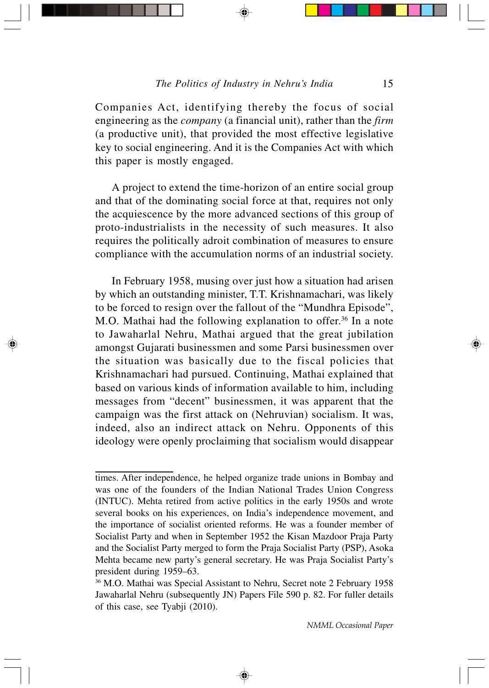Companies Act, identifying thereby the focus of social engineering as the *company* (a financial unit), rather than the *firm* (a productive unit), that provided the most effective legislative key to social engineering. And it is the Companies Act with which this paper is mostly engaged.

A project to extend the time-horizon of an entire social group and that of the dominating social force at that, requires not only the acquiescence by the more advanced sections of this group of proto-industrialists in the necessity of such measures. It also requires the politically adroit combination of measures to ensure compliance with the accumulation norms of an industrial society.

In February 1958, musing over just how a situation had arisen by which an outstanding minister, T.T. Krishnamachari, was likely to be forced to resign over the fallout of the "Mundhra Episode", M.O. Mathai had the following explanation to offer.<sup>36</sup> In a note to Jawaharlal Nehru, Mathai argued that the great jubilation amongst Gujarati businessmen and some Parsi businessmen over the situation was basically due to the fiscal policies that Krishnamachari had pursued. Continuing, Mathai explained that based on various kinds of information available to him, including messages from "decent" businessmen, it was apparent that the campaign was the first attack on (Nehruvian) socialism. It was, indeed, also an indirect attack on Nehru. Opponents of this ideology were openly proclaiming that socialism would disappear

times. After independence, he helped organize trade unions in Bombay and was one of the founders of the Indian National Trades Union Congress (INTUC). Mehta retired from active politics in the early 1950s and wrote several books on his experiences, on India's independence movement, and the importance of socialist oriented reforms. He was a founder member of Socialist Party and when in September 1952 the Kisan Mazdoor Praja Party and the Socialist Party merged to form the Praja Socialist Party (PSP), Asoka Mehta became new party's general secretary. He was Praja Socialist Party's president during 1959–63.

<sup>36</sup> M.O. Mathai was Special Assistant to Nehru, Secret note 2 February 1958 Jawaharlal Nehru (subsequently JN) Papers File 590 p. 82. For fuller details of this case, see Tyabji (2010).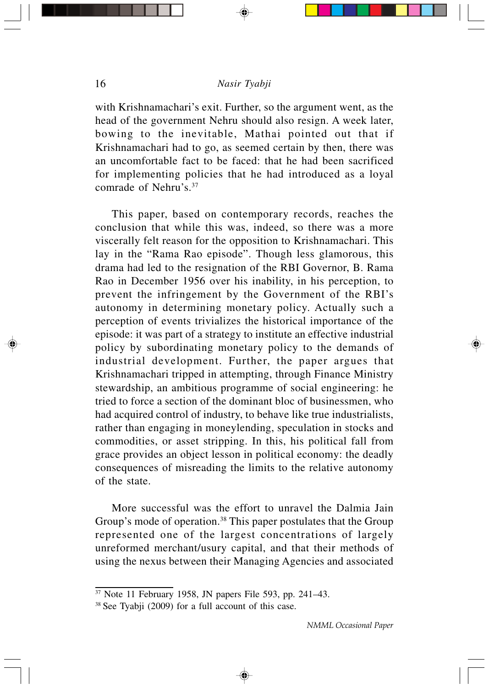with Krishnamachari's exit. Further, so the argument went, as the head of the government Nehru should also resign. A week later, bowing to the inevitable, Mathai pointed out that if Krishnamachari had to go, as seemed certain by then, there was an uncomfortable fact to be faced: that he had been sacrificed for implementing policies that he had introduced as a loyal comrade of Nehru's.<sup>37</sup>

This paper, based on contemporary records, reaches the conclusion that while this was, indeed, so there was a more viscerally felt reason for the opposition to Krishnamachari. This lay in the "Rama Rao episode". Though less glamorous, this drama had led to the resignation of the RBI Governor, B. Rama Rao in December 1956 over his inability, in his perception, to prevent the infringement by the Government of the RBI's autonomy in determining monetary policy. Actually such a perception of events trivializes the historical importance of the episode: it was part of a strategy to institute an effective industrial policy by subordinating monetary policy to the demands of industrial development. Further, the paper argues that Krishnamachari tripped in attempting, through Finance Ministry stewardship, an ambitious programme of social engineering: he tried to force a section of the dominant bloc of businessmen, who had acquired control of industry, to behave like true industrialists, rather than engaging in moneylending, speculation in stocks and commodities, or asset stripping. In this, his political fall from grace provides an object lesson in political economy: the deadly consequences of misreading the limits to the relative autonomy of the state.

More successful was the effort to unravel the Dalmia Jain Group's mode of operation.<sup>38</sup> This paper postulates that the Group represented one of the largest concentrations of largely unreformed merchant/usury capital, and that their methods of using the nexus between their Managing Agencies and associated

<sup>37</sup> Note 11 February 1958, JN papers File 593, pp. 241–43.

<sup>38</sup> See Tyabji (2009) for a full account of this case.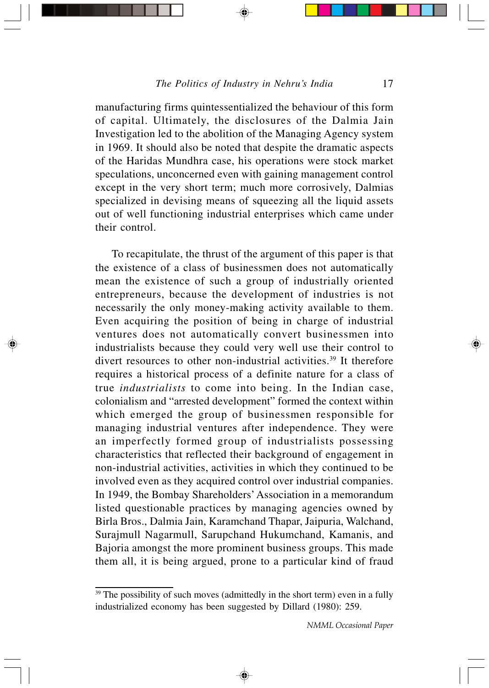manufacturing firms quintessentialized the behaviour of this form of capital. Ultimately, the disclosures of the Dalmia Jain Investigation led to the abolition of the Managing Agency system in 1969. It should also be noted that despite the dramatic aspects of the Haridas Mundhra case, his operations were stock market speculations, unconcerned even with gaining management control except in the very short term; much more corrosively, Dalmias specialized in devising means of squeezing all the liquid assets out of well functioning industrial enterprises which came under their control.

To recapitulate, the thrust of the argument of this paper is that the existence of a class of businessmen does not automatically mean the existence of such a group of industrially oriented entrepreneurs, because the development of industries is not necessarily the only money-making activity available to them. Even acquiring the position of being in charge of industrial ventures does not automatically convert businessmen into industrialists because they could very well use their control to divert resources to other non-industrial activities.<sup>39</sup> It therefore requires a historical process of a definite nature for a class of true *industrialists* to come into being. In the Indian case, colonialism and "arrested development" formed the context within which emerged the group of businessmen responsible for managing industrial ventures after independence. They were an imperfectly formed group of industrialists possessing characteristics that reflected their background of engagement in non-industrial activities, activities in which they continued to be involved even as they acquired control over industrial companies. In 1949, the Bombay Shareholders' Association in a memorandum listed questionable practices by managing agencies owned by Birla Bros., Dalmia Jain, Karamchand Thapar, Jaipuria, Walchand, Surajmull Nagarmull, Sarupchand Hukumchand, Kamanis, and Bajoria amongst the more prominent business groups. This made them all, it is being argued, prone to a particular kind of fraud

<sup>&</sup>lt;sup>39</sup> The possibility of such moves (admittedly in the short term) even in a fully industrialized economy has been suggested by Dillard (1980): 259.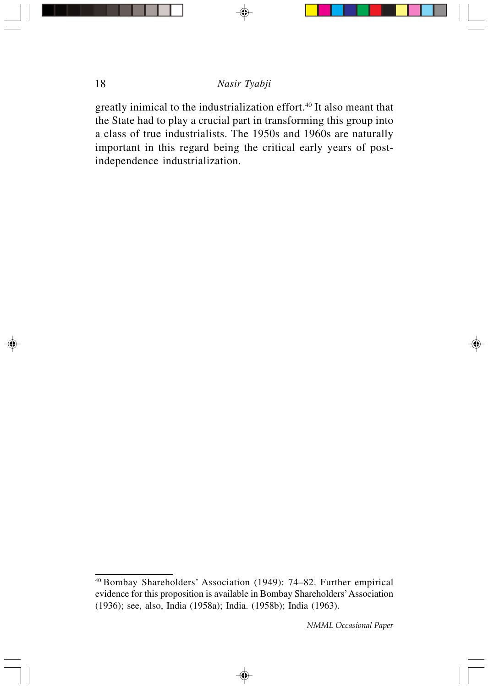greatly inimical to the industrialization effort.<sup>40</sup> It also meant that the State had to play a crucial part in transforming this group into a class of true industrialists. The 1950s and 1960s are naturally important in this regard being the critical early years of postindependence industrialization.

◈

<sup>40</sup>Bombay Shareholders' Association (1949): 74–82. Further empirical evidence for this proposition is available in Bombay Shareholders' Association (1936); see, also, India (1958a); India. (1958b); India (1963).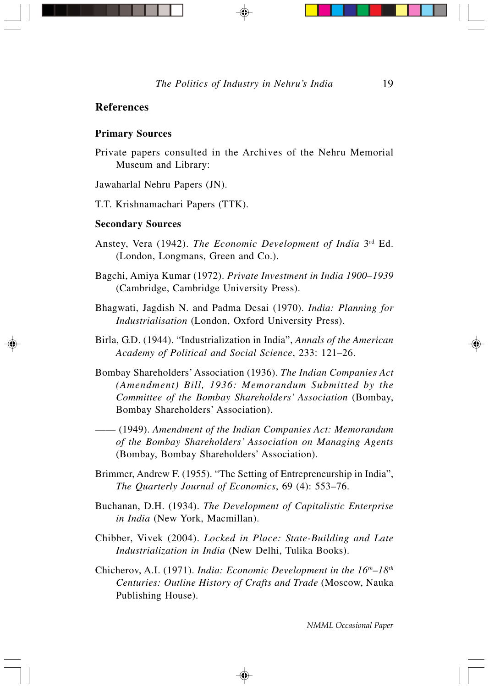#### **References**

#### **Primary Sources**

Private papers consulted in the Archives of the Nehru Memorial Museum and Library:

Jawaharlal Nehru Papers (JN).

T.T. Krishnamachari Papers (TTK).

#### **Secondary Sources**

- Anstey, Vera (1942). The Economic Development of India 3<sup>rd</sup> Ed. (London, Longmans, Green and Co.).
- Bagchi, Amiya Kumar (1972). *Private Investment in India 1900–1939* (Cambridge, Cambridge University Press).
- Bhagwati, Jagdish N. and Padma Desai (1970). *India: Planning for Industrialisation* (London, Oxford University Press).
- Birla, G.D. (1944). "Industrialization in India", *Annals of the American Academy of Political and Social Science*, 233: 121–26.
- Bombay Shareholders' Association (1936). *The Indian Companies Act (Amendment) Bill, 1936: Memorandum Submitted by the Committee of the Bombay Shareholders' Association* (Bombay, Bombay Shareholders' Association).
- —— (1949). *Amendment of the Indian Companies Act: Memorandum of the Bombay Shareholders' Association on Managing Agents* (Bombay, Bombay Shareholders' Association).
- Brimmer, Andrew F. (1955). "The Setting of Entrepreneurship in India", *The Quarterly Journal of Economics*, 69 (4): 553–76.
- Buchanan, D.H. (1934). *The Development of Capitalistic Enterprise in India* (New York, Macmillan).
- Chibber, Vivek (2004). *Locked in Place: State-Building and Late Industrialization in India* (New Delhi, Tulika Books).
- Chicherov, A.I. (1971). *India: Economic Development in the 16th–18th Centuries: Outline History of Crafts and Trade* (Moscow, Nauka Publishing House).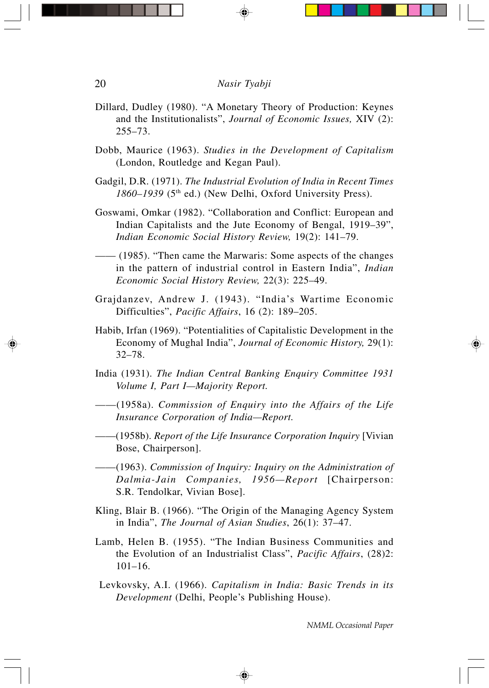- Dillard, Dudley (1980). "A Monetary Theory of Production: Keynes and the Institutionalists", *Journal of Economic Issues,* XIV (2): 255–73.
- Dobb, Maurice (1963). *Studies in the Development of Capitalism* (London, Routledge and Kegan Paul).
- Gadgil, D.R. (1971). *The Industrial Evolution of India in Recent Times* 1860–1939 (5<sup>th</sup> ed.) (New Delhi, Oxford University Press).
- Goswami, Omkar (1982). "Collaboration and Conflict: European and Indian Capitalists and the Jute Economy of Bengal, 1919–39", *Indian Economic Social History Review,* 19(2): 141–79.
- —— (1985). "Then came the Marwaris: Some aspects of the changes in the pattern of industrial control in Eastern India", *Indian Economic Social History Review,* 22(3): 225–49.
- Grajdanzev, Andrew J. (1943). "India's Wartime Economic Difficulties", *Pacific Affairs*, 16 (2): 189–205.
- Habib, Irfan (1969). "Potentialities of Capitalistic Development in the Economy of Mughal India", *Journal of Economic History,* 29(1): 32–78.
- India (1931). *The Indian Central Banking Enquiry Committee 1931 Volume I, Part I—Majority Report.*
- ——(1958a). *Commission of Enquiry into the Affairs of the Life Insurance Corporation of India—Report.*
- ——(1958b). *Report of the Life Insurance Corporation Inquiry* [Vivian Bose, Chairperson].
- ——(1963). *Commission of Inquiry: Inquiry on the Administration of Dalmia-Jain Companies, 1956—Report* [Chairperson: S.R. Tendolkar, Vivian Bose].
- Kling, Blair B. (1966). "The Origin of the Managing Agency System in India", *The Journal of Asian Studies*, 26(1): 37–47.
- Lamb, Helen B. (1955). "The Indian Business Communities and the Evolution of an Industrialist Class", *Pacific Affairs*, (28)2: 101–16.
- Levkovsky, A.I. (1966). *Capitalism in India: Basic Trends in its Development* (Delhi, People's Publishing House).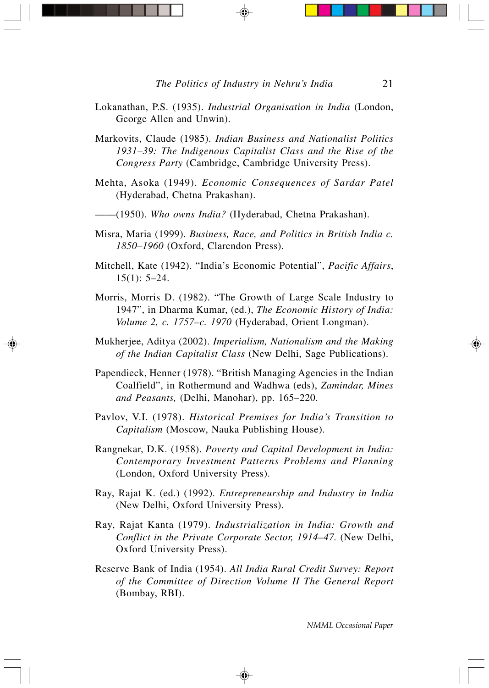- Lokanathan, P.S. (1935). *Industrial Organisation in India* (London, George Allen and Unwin).
- Markovits, Claude (1985). *Indian Business and Nationalist Politics 1931–39: The Indigenous Capitalist Class and the Rise of the Congress Party* (Cambridge, Cambridge University Press).
- Mehta, Asoka (1949). *Economic Consequences of Sardar Patel* (Hyderabad, Chetna Prakashan).
- ——(1950). *Who owns India?* (Hyderabad, Chetna Prakashan).
- Misra, Maria (1999). *Business, Race, and Politics in British India c. 1850–1960* (Oxford, Clarendon Press).
- Mitchell, Kate (1942). "India's Economic Potential", *Pacific Affairs*, 15(1): 5–24.
- Morris, Morris D. (1982). "The Growth of Large Scale Industry to 1947", in Dharma Kumar, (ed.), *The Economic History of India: Volume 2, c. 1757–c. 1970* (Hyderabad, Orient Longman).
- Mukherjee, Aditya (2002). *Imperialism, Nationalism and the Making of the Indian Capitalist Class* (New Delhi, Sage Publications).
- Papendieck, Henner (1978). "British Managing Agencies in the Indian Coalfield", in Rothermund and Wadhwa (eds), *Zamindar, Mines and Peasants,* (Delhi, Manohar), pp. 165–220.
- Pavlov, V.I. (1978). *Historical Premises for India's Transition to Capitalism* (Moscow, Nauka Publishing House).
- Rangnekar, D.K. (1958). *Poverty and Capital Development in India: Contemporary Investment Patterns Problems and Planning* (London, Oxford University Press).
- Ray, Rajat K. (ed.) (1992). *Entrepreneurship and Industry in India* (New Delhi, Oxford University Press).
- Ray, Rajat Kanta (1979). *Industrialization in India: Growth and Conflict in the Private Corporate Sector, 1914–47.* (New Delhi, Oxford University Press).
- Reserve Bank of India (1954). *All India Rural Credit Survey: Report of the Committee of Direction Volume II The General Report* (Bombay, RBI).